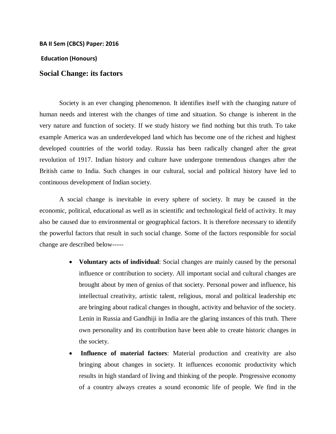## **BA II Sem (CBCS) Paper: 2016**

**Education (Honours)**

## **Social Change: its factors**

Society is an ever changing phenomenon. It identifies itself with the changing nature of human needs and interest with the changes of time and situation. So change is inherent in the very nature and function of society. If we study history we find nothing but this truth. To take example America was an underdeveloped land which has become one of the richest and highest developed countries of the world today. Russia has been radically changed after the great revolution of 1917. Indian history and culture have undergone tremendous changes after the British came to India. Such changes in our cultural, social and political history have led to continuous development of Indian society.

A social change is inevitable in every sphere of society. It may be caused in the economic, political, educational as well as in scientific and technological field of activity. It may also be caused due to environmental or geographical factors. It is therefore necessary to identify the powerful factors that result in such social change. Some of the factors responsible for social change are described below-----

- **Voluntary acts of individual**: Social changes are mainly caused by the personal influence or contribution to society. All important social and cultural changes are brought about by men of genius of that society. Personal power and influence, his intellectual creativity, artistic talent, religious, moral and political leadership etc are bringing about radical changes in thought, activity and behavior of the society. Lenin in Russia and Gandhiji in India are the glaring instances of this truth. There own personality and its contribution have been able to create historic changes in the society.
- **Influence of material factors**: Material production and creativity are also bringing about changes in society. It influences economic productivity which results in high standard of living and thinking of the people. Progressive economy of a country always creates a sound economic life of people. We find in the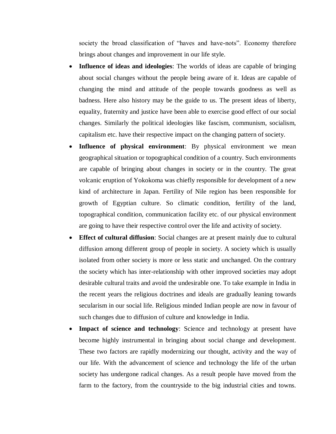society the broad classification of "haves and have-nots". Economy therefore brings about changes and improvement in our life style.

- **Influence of ideas and ideologies**: The worlds of ideas are capable of bringing about social changes without the people being aware of it. Ideas are capable of changing the mind and attitude of the people towards goodness as well as badness. Here also history may be the guide to us. The present ideas of liberty, equality, fraternity and justice have been able to exercise good effect of our social changes. Similarly the political ideologies like fascism, communism, socialism, capitalism etc. have their respective impact on the changing pattern of society.
- **Influence of physical environment**: By physical environment we mean geographical situation or topographical condition of a country. Such environments are capable of bringing about changes in society or in the country. The great volcanic eruption of Yokokoma was chiefly responsible for development of a new kind of architecture in Japan. Fertility of Nile region has been responsible for growth of Egyptian culture. So climatic condition, fertility of the land, topographical condition, communication facility etc. of our physical environment are going to have their respective control over the life and activity of society.
- **Effect of cultural diffusion**: Social changes are at present mainly due to cultural diffusion among different group of people in society. A society which is usually isolated from other society is more or less static and unchanged. On the contrary the society which has inter-relationship with other improved societies may adopt desirable cultural traits and avoid the undesirable one. To take example in India in the recent years the religious doctrines and ideals are gradually leaning towards secularism in our social life. Religious minded Indian people are now in favour of such changes due to diffusion of culture and knowledge in India.
- **Impact of science and technology**: Science and technology at present have become highly instrumental in bringing about social change and development. These two factors are rapidly modernizing our thought, activity and the way of our life. With the advancement of science and technology the life of the urban society has undergone radical changes. As a result people have moved from the farm to the factory, from the countryside to the big industrial cities and towns.